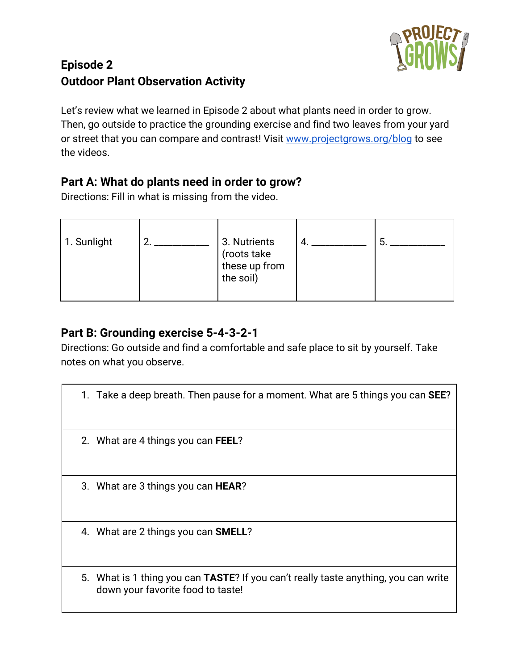

## **Episode 2 Outdoor Plant Observation Activity**

Let's review what we learned in Episode 2 about what plants need in order to grow. Then, go outside to practice the grounding exercise and find two leaves from your yard or street that you can compare and contrast! Visit [www.projectgrows.org/blog](http://www.projectgrows.org/blog) to see the videos.

## **Part A: What do plants need in order to grow?**

Directions: Fill in what is missing from the video.

| 1. Sunlight | c | 3. Nutrients<br>(roots take<br>these up from<br>the soil) |  |
|-------------|---|-----------------------------------------------------------|--|
|             |   |                                                           |  |

## **Part B: Grounding exercise 5-4-3-2-1**

Directions: Go outside and find a comfortable and safe place to sit by yourself. Take notes on what you observe.

1. Take a deep breath. Then pause for a moment. What are 5 things you can **SEE**? 2. What are 4 things you can **FEEL**? 3. What are 3 things you can **HEAR**? 4. What are 2 things you can **SMELL**? 5. What is 1 thing you can **TASTE**? If you can't really taste anything, you can write down your favorite food to taste!